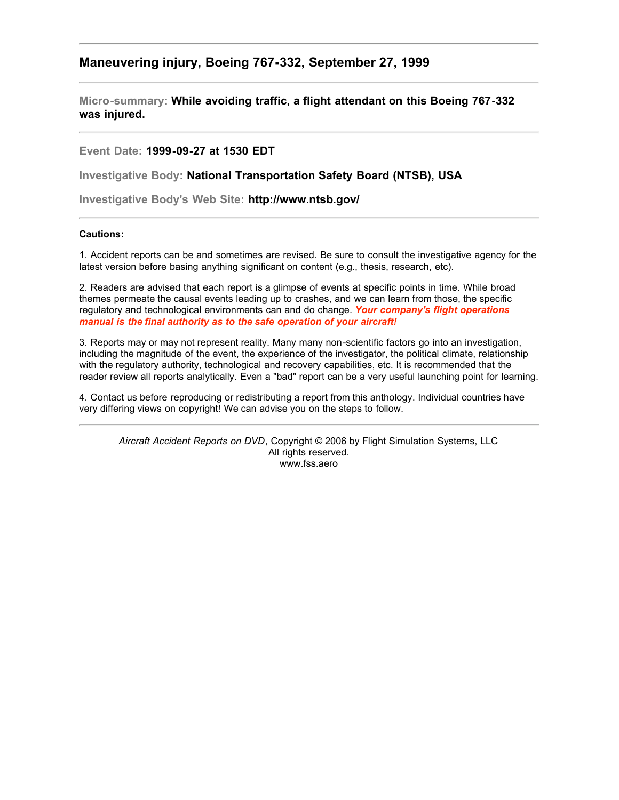## **Maneuvering injury, Boeing 767-332, September 27, 1999**

**Micro-summary: While avoiding traffic, a flight attendant on this Boeing 767-332 was injured.**

## **Event Date: 1999-09-27 at 1530 EDT**

**Investigative Body: National Transportation Safety Board (NTSB), USA**

**Investigative Body's Web Site: http://www.ntsb.gov/**

## **Cautions:**

1. Accident reports can be and sometimes are revised. Be sure to consult the investigative agency for the latest version before basing anything significant on content (e.g., thesis, research, etc).

2. Readers are advised that each report is a glimpse of events at specific points in time. While broad themes permeate the causal events leading up to crashes, and we can learn from those, the specific regulatory and technological environments can and do change. *Your company's flight operations manual is the final authority as to the safe operation of your aircraft!*

3. Reports may or may not represent reality. Many many non-scientific factors go into an investigation, including the magnitude of the event, the experience of the investigator, the political climate, relationship with the regulatory authority, technological and recovery capabilities, etc. It is recommended that the reader review all reports analytically. Even a "bad" report can be a very useful launching point for learning.

4. Contact us before reproducing or redistributing a report from this anthology. Individual countries have very differing views on copyright! We can advise you on the steps to follow.

*Aircraft Accident Reports on DVD*, Copyright © 2006 by Flight Simulation Systems, LLC All rights reserved. www.fss.aero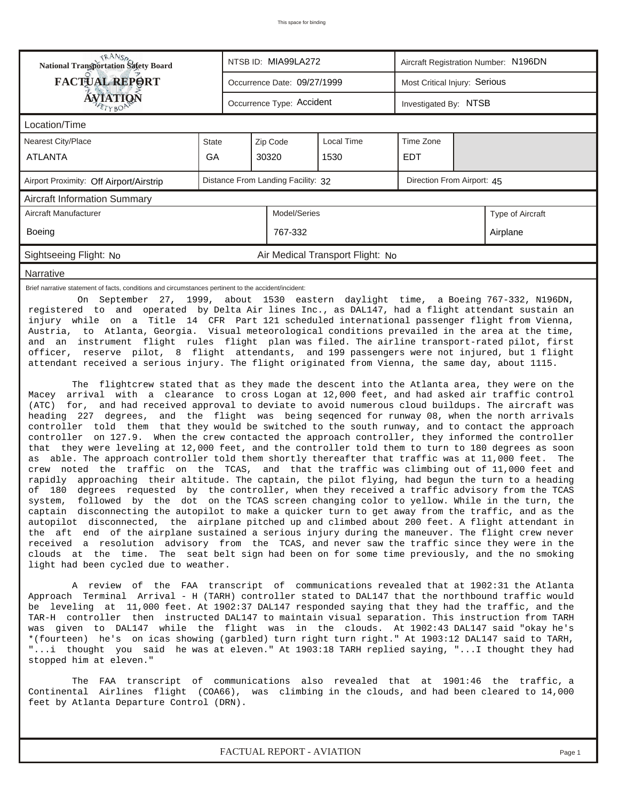| <b>NANSA</b><br>National Transportation Safety Board                                                                                                                                                                                                                                                                                                                                                                                                                                                                                                                                                                                                                                                                                                                                                                                                                                                                                                                                                                                                                                                                                                                                                                                                                                                                                                                                                                                                                                                                                                                                                                                                                                                                                                                                                                                                                                                                                                                                                                                                                                                                                                                                                                                                                                                                                                                                                                                                                                                                                                                                                                         |                                  | NTSB ID: MIA99LA272<br>Aircraft Registration Number: N196DN  |  |  |  |  |  |  |  |  |  |
|------------------------------------------------------------------------------------------------------------------------------------------------------------------------------------------------------------------------------------------------------------------------------------------------------------------------------------------------------------------------------------------------------------------------------------------------------------------------------------------------------------------------------------------------------------------------------------------------------------------------------------------------------------------------------------------------------------------------------------------------------------------------------------------------------------------------------------------------------------------------------------------------------------------------------------------------------------------------------------------------------------------------------------------------------------------------------------------------------------------------------------------------------------------------------------------------------------------------------------------------------------------------------------------------------------------------------------------------------------------------------------------------------------------------------------------------------------------------------------------------------------------------------------------------------------------------------------------------------------------------------------------------------------------------------------------------------------------------------------------------------------------------------------------------------------------------------------------------------------------------------------------------------------------------------------------------------------------------------------------------------------------------------------------------------------------------------------------------------------------------------------------------------------------------------------------------------------------------------------------------------------------------------------------------------------------------------------------------------------------------------------------------------------------------------------------------------------------------------------------------------------------------------------------------------------------------------------------------------------------------------|----------------------------------|--------------------------------------------------------------|--|--|--|--|--|--|--|--|--|
| <b>FACTUAL REPORT</b>                                                                                                                                                                                                                                                                                                                                                                                                                                                                                                                                                                                                                                                                                                                                                                                                                                                                                                                                                                                                                                                                                                                                                                                                                                                                                                                                                                                                                                                                                                                                                                                                                                                                                                                                                                                                                                                                                                                                                                                                                                                                                                                                                                                                                                                                                                                                                                                                                                                                                                                                                                                                        |                                  | Most Critical Injury: Serious<br>Occurrence Date: 09/27/1999 |  |  |  |  |  |  |  |  |  |
| AVIATION                                                                                                                                                                                                                                                                                                                                                                                                                                                                                                                                                                                                                                                                                                                                                                                                                                                                                                                                                                                                                                                                                                                                                                                                                                                                                                                                                                                                                                                                                                                                                                                                                                                                                                                                                                                                                                                                                                                                                                                                                                                                                                                                                                                                                                                                                                                                                                                                                                                                                                                                                                                                                     |                                  | Occurrence Type: Accident<br>Investigated By: NTSB           |  |  |  |  |  |  |  |  |  |
| Location/Time                                                                                                                                                                                                                                                                                                                                                                                                                                                                                                                                                                                                                                                                                                                                                                                                                                                                                                                                                                                                                                                                                                                                                                                                                                                                                                                                                                                                                                                                                                                                                                                                                                                                                                                                                                                                                                                                                                                                                                                                                                                                                                                                                                                                                                                                                                                                                                                                                                                                                                                                                                                                                |                                  |                                                              |  |  |  |  |  |  |  |  |  |
| Local Time<br>Time Zone<br><b>Nearest City/Place</b><br>Zip Code<br><b>State</b>                                                                                                                                                                                                                                                                                                                                                                                                                                                                                                                                                                                                                                                                                                                                                                                                                                                                                                                                                                                                                                                                                                                                                                                                                                                                                                                                                                                                                                                                                                                                                                                                                                                                                                                                                                                                                                                                                                                                                                                                                                                                                                                                                                                                                                                                                                                                                                                                                                                                                                                                             |                                  |                                                              |  |  |  |  |  |  |  |  |  |
| <b>ATLANTA</b>                                                                                                                                                                                                                                                                                                                                                                                                                                                                                                                                                                                                                                                                                                                                                                                                                                                                                                                                                                                                                                                                                                                                                                                                                                                                                                                                                                                                                                                                                                                                                                                                                                                                                                                                                                                                                                                                                                                                                                                                                                                                                                                                                                                                                                                                                                                                                                                                                                                                                                                                                                                                               | GA                               |                                                              |  |  |  |  |  |  |  |  |  |
| Distance From Landing Facility: 32<br>Direction From Airport: 45<br>Airport Proximity: Off Airport/Airstrip                                                                                                                                                                                                                                                                                                                                                                                                                                                                                                                                                                                                                                                                                                                                                                                                                                                                                                                                                                                                                                                                                                                                                                                                                                                                                                                                                                                                                                                                                                                                                                                                                                                                                                                                                                                                                                                                                                                                                                                                                                                                                                                                                                                                                                                                                                                                                                                                                                                                                                                  |                                  |                                                              |  |  |  |  |  |  |  |  |  |
| <b>Aircraft Information Summary</b>                                                                                                                                                                                                                                                                                                                                                                                                                                                                                                                                                                                                                                                                                                                                                                                                                                                                                                                                                                                                                                                                                                                                                                                                                                                                                                                                                                                                                                                                                                                                                                                                                                                                                                                                                                                                                                                                                                                                                                                                                                                                                                                                                                                                                                                                                                                                                                                                                                                                                                                                                                                          |                                  |                                                              |  |  |  |  |  |  |  |  |  |
| Model/Series<br>Aircraft Manufacturer<br>Type of Aircraft                                                                                                                                                                                                                                                                                                                                                                                                                                                                                                                                                                                                                                                                                                                                                                                                                                                                                                                                                                                                                                                                                                                                                                                                                                                                                                                                                                                                                                                                                                                                                                                                                                                                                                                                                                                                                                                                                                                                                                                                                                                                                                                                                                                                                                                                                                                                                                                                                                                                                                                                                                    |                                  |                                                              |  |  |  |  |  |  |  |  |  |
| Boeing<br>767-332<br>Airplane                                                                                                                                                                                                                                                                                                                                                                                                                                                                                                                                                                                                                                                                                                                                                                                                                                                                                                                                                                                                                                                                                                                                                                                                                                                                                                                                                                                                                                                                                                                                                                                                                                                                                                                                                                                                                                                                                                                                                                                                                                                                                                                                                                                                                                                                                                                                                                                                                                                                                                                                                                                                |                                  |                                                              |  |  |  |  |  |  |  |  |  |
| Sightseeing Flight: No                                                                                                                                                                                                                                                                                                                                                                                                                                                                                                                                                                                                                                                                                                                                                                                                                                                                                                                                                                                                                                                                                                                                                                                                                                                                                                                                                                                                                                                                                                                                                                                                                                                                                                                                                                                                                                                                                                                                                                                                                                                                                                                                                                                                                                                                                                                                                                                                                                                                                                                                                                                                       | Air Medical Transport Flight: No |                                                              |  |  |  |  |  |  |  |  |  |
| Narrative                                                                                                                                                                                                                                                                                                                                                                                                                                                                                                                                                                                                                                                                                                                                                                                                                                                                                                                                                                                                                                                                                                                                                                                                                                                                                                                                                                                                                                                                                                                                                                                                                                                                                                                                                                                                                                                                                                                                                                                                                                                                                                                                                                                                                                                                                                                                                                                                                                                                                                                                                                                                                    |                                  |                                                              |  |  |  |  |  |  |  |  |  |
| On September 27, 1999, about 1530 eastern daylight time, a Boeing 767-332, N196DN,<br>registered to and operated by Delta Air lines Inc., as DAL147, had a flight attendant sustain an<br>injury while on a Title 14 CFR Part 121 scheduled international passenger flight from Vienna,<br>Austria, to Atlanta, Georgia. Visual meteorological conditions prevailed in the area at the time,<br>and an instrument flight rules flight plan was filed. The airline transport-rated pilot, first<br>officer, reserve pilot, 8 flight attendants, and 199 passengers were not injured, but 1 flight<br>attendant received a serious injury. The flight originated from Vienna, the same day, about 1115.<br>The flightcrew stated that as they made the descent into the Atlanta area, they were on the<br>arrival with a clearance to cross Logan at 12,000 feet, and had asked air traffic control<br>Macey<br>for, and had received approval to deviate to avoid numerous cloud buildups. The aircraft was<br>(ATC)<br>heading 227 degrees, and the flight was being seqenced for runway 08, when the north arrivals<br>controller told them that they would be switched to the south runway, and to contact the approach<br>on 127.9. When the crew contacted the approach controller, they informed the controller<br>controller<br>that they were leveling at 12,000 feet, and the controller told them to turn to 180 degrees as soon<br>able. The approach controller told them shortly thereafter that traffic was at 11,000 feet.<br>The<br>as<br>crew noted the traffic on the TCAS, and that the traffic was climbing out of 11,000 feet and<br>rapidly approaching their altitude. The captain, the pilot flying, had begun the turn to a heading<br>of 180 degrees requested by the controller, when they received a traffic advisory from the TCAS<br>followed by the dot on the TCAS screen changing color to yellow. While in the turn, the<br>system,<br>captain disconnecting the autopilot to make a quicker turn to get away from the traffic, and as the<br>autopilot disconnected, the airplane pitched up and climbed about 200 feet. A flight attendant in<br>the aft end of the airplane sustained a serious injury during the maneuver. The flight crew never<br>received a resolution advisory from the TCAS, and never saw the traffic since they were in the<br>clouds at the time. The seat belt sign had been on for some time previously, and the no smoking<br>light had been cycled due to weather.<br>A review of the FAA transcript of communications revealed that at 1902:31 the Atlanta |                                  |                                                              |  |  |  |  |  |  |  |  |  |
| Approach Terminal Arrival - H (TARH) controller stated to DAL147 that the northbound traffic would<br>be leveling at 11,000 feet. At 1902:37 DAL147 responded saying that they had the traffic, and the<br>TAR-H controller then instructed DAL147 to maintain visual separation. This instruction from TARH<br>was given to DAL147 while the flight was in the clouds. At 1902:43 DAL147 said "okay he's<br>*(fourteen) he's on icas showing (garbled) turn right turn right." At 1903:12 DAL147 said to TARH,<br>"i thought you said he was at eleven." At 1903:18 TARH replied saying, "I thought they had<br>stopped him at eleven."<br>The FAA transcript of communications also revealed that at 1901:46 the traffic, a                                                                                                                                                                                                                                                                                                                                                                                                                                                                                                                                                                                                                                                                                                                                                                                                                                                                                                                                                                                                                                                                                                                                                                                                                                                                                                                                                                                                                                                                                                                                                                                                                                                                                                                                                                                                                                                                                                |                                  |                                                              |  |  |  |  |  |  |  |  |  |
| Continental Airlines flight (COA66), was climbing in the clouds, and had been cleared to 14,000<br>feet by Atlanta Departure Control (DRN).                                                                                                                                                                                                                                                                                                                                                                                                                                                                                                                                                                                                                                                                                                                                                                                                                                                                                                                                                                                                                                                                                                                                                                                                                                                                                                                                                                                                                                                                                                                                                                                                                                                                                                                                                                                                                                                                                                                                                                                                                                                                                                                                                                                                                                                                                                                                                                                                                                                                                  |                                  |                                                              |  |  |  |  |  |  |  |  |  |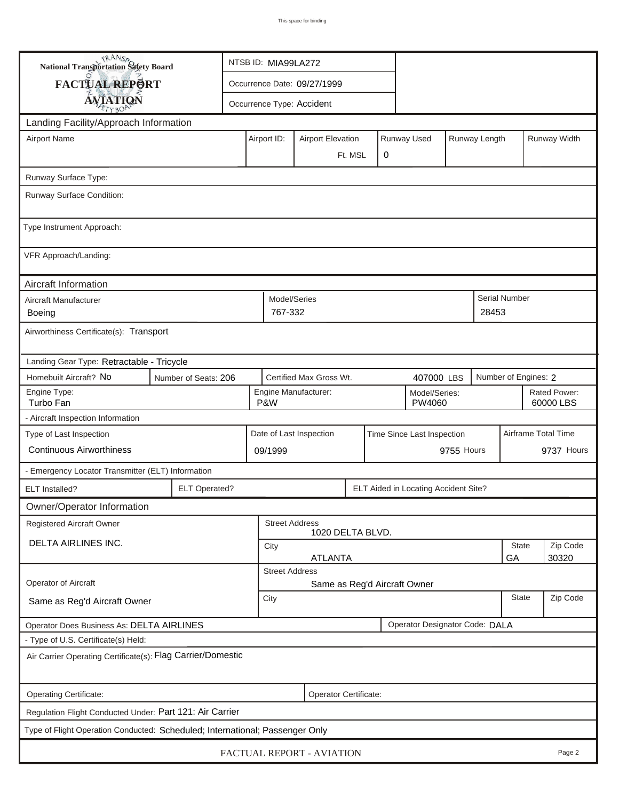| <b>National Transportation Safety Board</b>                                  |                                                        | NTSB ID: MIA99LA272                                   |                             |                           |            |  |                                      |                           |                     |  |               |  |  |
|------------------------------------------------------------------------------|--------------------------------------------------------|-------------------------------------------------------|-----------------------------|---------------------------|------------|--|--------------------------------------|---------------------------|---------------------|--|---------------|--|--|
| FACTUAL REPORT                                                               |                                                        |                                                       | Occurrence Date: 09/27/1999 |                           |            |  |                                      |                           |                     |  |               |  |  |
| <b>AVIATION</b>                                                              |                                                        |                                                       |                             | Occurrence Type: Accident |            |  |                                      |                           |                     |  |               |  |  |
| Landing Facility/Approach Information                                        |                                                        |                                                       |                             |                           |            |  |                                      |                           |                     |  |               |  |  |
| <b>Airport Name</b>                                                          |                                                        | Airport ID:                                           |                             | <b>Airport Elevation</b>  |            |  | Runway Used                          |                           | Runway Length       |  | Runway Width  |  |  |
|                                                                              |                                                        | 0<br>Ft. MSL                                          |                             |                           |            |  |                                      |                           |                     |  |               |  |  |
|                                                                              |                                                        |                                                       |                             |                           |            |  |                                      |                           |                     |  |               |  |  |
| Runway Surface Type:                                                         |                                                        |                                                       |                             |                           |            |  |                                      |                           |                     |  |               |  |  |
| Runway Surface Condition:                                                    |                                                        |                                                       |                             |                           |            |  |                                      |                           |                     |  |               |  |  |
| Type Instrument Approach:                                                    |                                                        |                                                       |                             |                           |            |  |                                      |                           |                     |  |               |  |  |
| VFR Approach/Landing:                                                        |                                                        |                                                       |                             |                           |            |  |                                      |                           |                     |  |               |  |  |
| Aircraft Information                                                         |                                                        |                                                       |                             |                           |            |  |                                      |                           |                     |  |               |  |  |
| Aircraft Manufacturer                                                        |                                                        |                                                       | Model/Series                |                           |            |  |                                      |                           |                     |  | Serial Number |  |  |
| Boeing                                                                       |                                                        |                                                       | 767-332<br>28453            |                           |            |  |                                      |                           |                     |  |               |  |  |
| Airworthiness Certificate(s): Transport                                      |                                                        |                                                       |                             |                           |            |  |                                      |                           |                     |  |               |  |  |
| Landing Gear Type: Retractable - Tricycle                                    |                                                        |                                                       |                             |                           |            |  |                                      |                           |                     |  |               |  |  |
| Homebuilt Aircraft? No<br>Number of Seats: 206                               |                                                        |                                                       | Certified Max Gross Wt.     |                           | 407000 LBS |  |                                      | Number of Engines: 2      |                     |  |               |  |  |
| Engine Type:<br>Turbo Fan                                                    | Engine Manufacturer:<br>Model/Series:<br>P&W<br>PW4060 |                                                       |                             |                           |            |  |                                      | Rated Power:<br>60000 LBS |                     |  |               |  |  |
| - Aircraft Inspection Information                                            |                                                        |                                                       |                             |                           |            |  |                                      |                           |                     |  |               |  |  |
| Type of Last Inspection                                                      |                                                        | Date of Last Inspection<br>Time Since Last Inspection |                             |                           |            |  |                                      |                           | Airframe Total Time |  |               |  |  |
| <b>Continuous Airworthiness</b>                                              |                                                        | 09/1999                                               |                             | 9755 Hours                |            |  | 9737 Hours                           |                           |                     |  |               |  |  |
| - Emergency Locator Transmitter (ELT) Information                            |                                                        |                                                       |                             |                           |            |  |                                      |                           |                     |  |               |  |  |
| ELT Installed?                                                               | <b>ELT Operated?</b>                                   |                                                       |                             |                           |            |  | ELT Aided in Locating Accident Site? |                           |                     |  |               |  |  |
| Owner/Operator Information                                                   |                                                        |                                                       |                             |                           |            |  |                                      |                           |                     |  |               |  |  |
| <b>Registered Aircraft Owner</b>                                             |                                                        | <b>Street Address</b><br>1020 DELTA BLVD.             |                             |                           |            |  |                                      |                           |                     |  |               |  |  |
| DELTA AIRLINES INC.                                                          | State<br>City                                          |                                                       |                             |                           |            |  |                                      |                           | Zip Code            |  |               |  |  |
|                                                                              | <b>ATLANTA</b><br>GA<br>30320                          |                                                       |                             |                           |            |  |                                      |                           |                     |  |               |  |  |
| Operator of Aircraft                                                         | <b>Street Address</b><br>Same as Reg'd Aircraft Owner  |                                                       |                             |                           |            |  |                                      |                           |                     |  |               |  |  |
| Same as Reg'd Aircraft Owner                                                 | <b>State</b><br>City                                   |                                                       |                             |                           |            |  |                                      | Zip Code                  |                     |  |               |  |  |
|                                                                              |                                                        |                                                       |                             |                           |            |  |                                      |                           |                     |  |               |  |  |
| Operator Designator Code: DALA<br>Operator Does Business As: DELTA AIRLINES  |                                                        |                                                       |                             |                           |            |  |                                      |                           |                     |  |               |  |  |
| - Type of U.S. Certificate(s) Held:                                          |                                                        |                                                       |                             |                           |            |  |                                      |                           |                     |  |               |  |  |
| Air Carrier Operating Certificate(s): Flag Carrier/Domestic                  |                                                        |                                                       |                             |                           |            |  |                                      |                           |                     |  |               |  |  |
| Operating Certificate:                                                       | Operator Certificate:                                  |                                                       |                             |                           |            |  |                                      |                           |                     |  |               |  |  |
| Regulation Flight Conducted Under: Part 121: Air Carrier                     |                                                        |                                                       |                             |                           |            |  |                                      |                           |                     |  |               |  |  |
| Type of Flight Operation Conducted: Scheduled; International; Passenger Only |                                                        |                                                       |                             |                           |            |  |                                      |                           |                     |  |               |  |  |
| FACTUAL REPORT - AVIATION<br>Page 2                                          |                                                        |                                                       |                             |                           |            |  |                                      |                           |                     |  |               |  |  |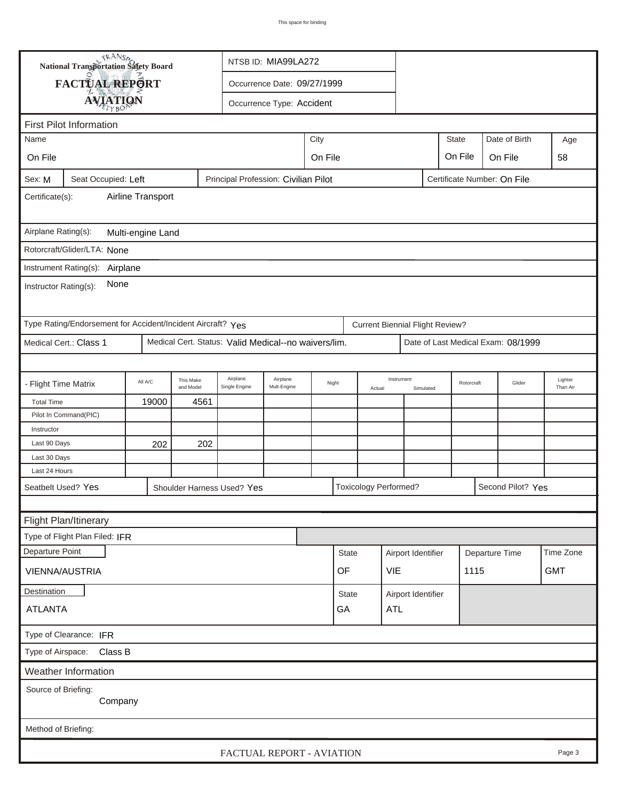|                                                                                | TRANSA<br><b>National Transportation Safety Board</b>                                      |         |                        |                           |                         |       |                                                   |                                    |                                        |                    |            |                |        |                     |
|--------------------------------------------------------------------------------|--------------------------------------------------------------------------------------------|---------|------------------------|---------------------------|-------------------------|-------|---------------------------------------------------|------------------------------------|----------------------------------------|--------------------|------------|----------------|--------|---------------------|
| FACTUAL REPORT<br>Occurrence Date: 09/27/1999                                  |                                                                                            |         |                        |                           |                         |       |                                                   |                                    |                                        |                    |            |                |        |                     |
| <b>AVIATION</b><br>Occurrence Type: Accident                                   |                                                                                            |         |                        |                           |                         |       |                                                   |                                    |                                        |                    |            |                |        |                     |
|                                                                                | <b>First Pilot Information</b>                                                             |         |                        |                           |                         |       |                                                   |                                    |                                        |                    |            |                |        |                     |
| City<br><b>State</b><br>Date of Birth<br>Name<br>Age                           |                                                                                            |         |                        |                           |                         |       |                                                   |                                    |                                        |                    |            |                |        |                     |
| On File                                                                        | On File<br>On File                                                                         |         |                        |                           |                         |       | On File                                           | 58                                 |                                        |                    |            |                |        |                     |
|                                                                                |                                                                                            |         |                        |                           |                         |       |                                                   |                                    |                                        |                    |            |                |        |                     |
| Sex: M                                                                         | Seat Occupied: Left<br>Principal Profession: Civilian Pilot<br>Certificate Number: On File |         |                        |                           |                         |       |                                                   |                                    |                                        |                    |            |                |        |                     |
| Airline Transport<br>Certificate(s):                                           |                                                                                            |         |                        |                           |                         |       |                                                   |                                    |                                        |                    |            |                |        |                     |
| Airplane Rating(s):<br>Multi-engine Land                                       |                                                                                            |         |                        |                           |                         |       |                                                   |                                    |                                        |                    |            |                |        |                     |
| Rotorcraft/Glider/LTA: None                                                    |                                                                                            |         |                        |                           |                         |       |                                                   |                                    |                                        |                    |            |                |        |                     |
|                                                                                | Instrument Rating(s):<br>Airplane                                                          |         |                        |                           |                         |       |                                                   |                                    |                                        |                    |            |                |        |                     |
| None<br>Instructor Rating(s):                                                  |                                                                                            |         |                        |                           |                         |       |                                                   |                                    |                                        |                    |            |                |        |                     |
|                                                                                | Type Rating/Endorsement for Accident/Incident Aircraft? Yes                                |         |                        |                           |                         |       |                                                   |                                    | <b>Current Biennial Flight Review?</b> |                    |            |                |        |                     |
| Medical Cert.: Class 1<br>Medical Cert. Status: Valid Medical--no waivers/lim. |                                                                                            |         |                        |                           |                         |       |                                                   | Date of Last Medical Exam: 08/1999 |                                        |                    |            |                |        |                     |
|                                                                                |                                                                                            |         |                        |                           |                         |       |                                                   |                                    |                                        |                    |            |                |        |                     |
| - Flight Time Matrix                                                           |                                                                                            | All A/C | This Make<br>and Model | Airplane<br>Single Engine | Airplane<br>Mult-Engine | Night |                                                   | Actual                             | Instrument                             | Simulated          | Rotorcraft |                | Glider | Lighter<br>Than Air |
| <b>Total Time</b>                                                              | 4561<br>19000                                                                              |         |                        |                           |                         |       |                                                   |                                    |                                        |                    |            |                |        |                     |
|                                                                                | Pilot In Command(PIC)                                                                      |         |                        |                           |                         |       |                                                   |                                    |                                        |                    |            |                |        |                     |
| Instructor                                                                     |                                                                                            |         |                        |                           |                         |       |                                                   |                                    |                                        |                    |            |                |        |                     |
| Last 90 Days                                                                   |                                                                                            | 202     | 202                    |                           |                         |       |                                                   |                                    |                                        |                    |            |                |        |                     |
| Last 30 Days                                                                   |                                                                                            |         |                        |                           |                         |       |                                                   |                                    |                                        |                    |            |                |        |                     |
| Last 24 Hours                                                                  |                                                                                            |         |                        |                           |                         |       | <b>Toxicology Performed?</b><br>Second Pilot? Yes |                                    |                                        |                    |            |                |        |                     |
| Seatbelt Used? Yes<br>Shoulder Harness Used? Yes                               |                                                                                            |         |                        |                           |                         |       |                                                   |                                    |                                        |                    |            |                |        |                     |
|                                                                                |                                                                                            |         |                        |                           |                         |       |                                                   |                                    |                                        |                    |            |                |        |                     |
| Flight Plan/Itinerary                                                          |                                                                                            |         |                        |                           |                         |       |                                                   |                                    |                                        |                    |            |                |        |                     |
|                                                                                | Type of Flight Plan Filed: IFR                                                             |         |                        |                           |                         |       |                                                   |                                    |                                        |                    |            |                |        |                     |
| Departure Point                                                                |                                                                                            |         |                        |                           |                         |       |                                                   | <b>State</b>                       |                                        | Airport Identifier |            | Departure Time |        | Time Zone           |
| VIENNA/AUSTRIA                                                                 |                                                                                            |         |                        |                           |                         |       |                                                   | OF                                 |                                        | VIE                |            | 1115           |        | <b>GMT</b>          |
| Destination                                                                    |                                                                                            |         |                        |                           |                         |       |                                                   | <b>State</b>                       |                                        | Airport Identifier |            |                |        |                     |
| GA<br><b>ATLANTA</b>                                                           |                                                                                            |         |                        |                           |                         |       |                                                   |                                    | <b>ATL</b>                             |                    |            |                |        |                     |
| Type of Clearance: IFR                                                         |                                                                                            |         |                        |                           |                         |       |                                                   |                                    |                                        |                    |            |                |        |                     |
| Type of Airspace: Class B                                                      |                                                                                            |         |                        |                           |                         |       |                                                   |                                    |                                        |                    |            |                |        |                     |
|                                                                                | Weather Information                                                                        |         |                        |                           |                         |       |                                                   |                                    |                                        |                    |            |                |        |                     |
| Source of Briefing:                                                            | Company                                                                                    |         |                        |                           |                         |       |                                                   |                                    |                                        |                    |            |                |        |                     |
|                                                                                |                                                                                            |         |                        |                           |                         |       |                                                   |                                    |                                        |                    |            |                |        |                     |
| Method of Briefing:                                                            |                                                                                            |         |                        |                           |                         |       |                                                   |                                    |                                        |                    |            |                |        |                     |
|                                                                                | FACTUAL REPORT - AVIATION<br>Page 3                                                        |         |                        |                           |                         |       |                                                   |                                    |                                        |                    |            |                |        |                     |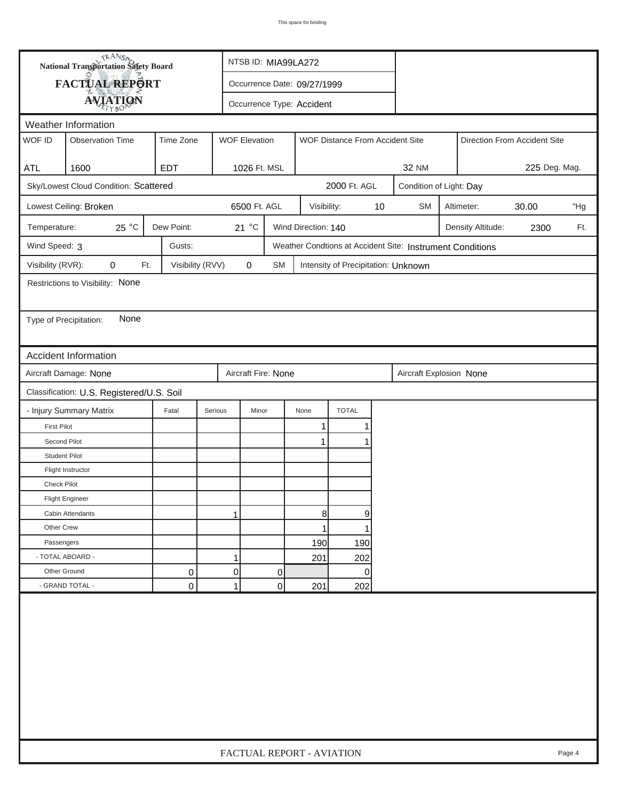| FACTUAL REPORT<br>Occurrence Date: 09/27/1999<br><b>AVIATION</b><br>Occurrence Type: Accident<br>Weather Information<br>WOF ID<br><b>WOF Elevation</b><br><b>Observation Time</b><br>Time Zone<br>WOF Distance From Accident Site<br>Direction From Accident Site<br>225 Deg. Mag.<br>1600<br><b>EDT</b><br>1026 Ft. MSL<br><b>32 NM</b><br><b>ATL</b><br>2000 Ft. AGL<br>Sky/Lowest Cloud Condition: Scattered<br>Condition of Light: Day<br>6500 Ft. AGL<br>Lowest Ceiling: Broken<br>10<br><b>SM</b><br>Altimeter:<br>30.00<br>Visibility:<br>25 °C<br>Dew Point:<br>21 °C<br>Wind Direction: 140<br>Temperature:<br>Density Altitude:<br>2300<br>Wind Speed: 3<br>Gusts:<br>Weather Condtions at Accident Site: Instrument Conditions<br>Visibility (RVR):<br>Visibility (RVV)<br>$\pmb{0}$<br>0<br>Ft.<br>SM<br>Intensity of Precipitation: Unknown<br>Restrictions to Visibility: None<br>None<br>Type of Precipitation:<br><b>Accident Information</b><br>Aircraft Damage: None<br>Aircraft Fire: None<br>Aircraft Explosion None<br>Classification: U.S. Registered/U.S. Soil<br><b>TOTAL</b><br>- Injury Summary Matrix<br>Fatal<br>Serious<br>Minor<br>None<br><b>First Pilot</b><br>1<br>Second Pilot<br>$\mathbf 1$<br><b>Student Pilot</b><br>Flight Instructor<br><b>Check Pilot</b><br><b>Flight Engineer</b><br>8<br>9<br>Cabin Attendants<br>1<br>Other Crew<br>1<br>Passengers<br>190<br>190 |  | <b>National Transportation Safety Board</b> |  | NTSB ID: MIA99LA272 |  |  |                           |     |  |     |     |  |  |        |
|----------------------------------------------------------------------------------------------------------------------------------------------------------------------------------------------------------------------------------------------------------------------------------------------------------------------------------------------------------------------------------------------------------------------------------------------------------------------------------------------------------------------------------------------------------------------------------------------------------------------------------------------------------------------------------------------------------------------------------------------------------------------------------------------------------------------------------------------------------------------------------------------------------------------------------------------------------------------------------------------------------------------------------------------------------------------------------------------------------------------------------------------------------------------------------------------------------------------------------------------------------------------------------------------------------------------------------------------------------------------------------------------------------------|--|---------------------------------------------|--|---------------------|--|--|---------------------------|-----|--|-----|-----|--|--|--------|
|                                                                                                                                                                                                                                                                                                                                                                                                                                                                                                                                                                                                                                                                                                                                                                                                                                                                                                                                                                                                                                                                                                                                                                                                                                                                                                                                                                                                                |  |                                             |  |                     |  |  |                           |     |  |     |     |  |  |        |
|                                                                                                                                                                                                                                                                                                                                                                                                                                                                                                                                                                                                                                                                                                                                                                                                                                                                                                                                                                                                                                                                                                                                                                                                                                                                                                                                                                                                                |  |                                             |  |                     |  |  |                           |     |  |     |     |  |  |        |
|                                                                                                                                                                                                                                                                                                                                                                                                                                                                                                                                                                                                                                                                                                                                                                                                                                                                                                                                                                                                                                                                                                                                                                                                                                                                                                                                                                                                                |  |                                             |  |                     |  |  |                           |     |  |     |     |  |  |        |
|                                                                                                                                                                                                                                                                                                                                                                                                                                                                                                                                                                                                                                                                                                                                                                                                                                                                                                                                                                                                                                                                                                                                                                                                                                                                                                                                                                                                                |  |                                             |  |                     |  |  |                           |     |  |     |     |  |  |        |
|                                                                                                                                                                                                                                                                                                                                                                                                                                                                                                                                                                                                                                                                                                                                                                                                                                                                                                                                                                                                                                                                                                                                                                                                                                                                                                                                                                                                                |  |                                             |  |                     |  |  |                           |     |  |     |     |  |  |        |
|                                                                                                                                                                                                                                                                                                                                                                                                                                                                                                                                                                                                                                                                                                                                                                                                                                                                                                                                                                                                                                                                                                                                                                                                                                                                                                                                                                                                                |  |                                             |  |                     |  |  |                           |     |  |     |     |  |  |        |
|                                                                                                                                                                                                                                                                                                                                                                                                                                                                                                                                                                                                                                                                                                                                                                                                                                                                                                                                                                                                                                                                                                                                                                                                                                                                                                                                                                                                                |  |                                             |  |                     |  |  |                           |     |  |     |     |  |  |        |
|                                                                                                                                                                                                                                                                                                                                                                                                                                                                                                                                                                                                                                                                                                                                                                                                                                                                                                                                                                                                                                                                                                                                                                                                                                                                                                                                                                                                                |  |                                             |  |                     |  |  |                           |     |  |     | "Hg |  |  |        |
|                                                                                                                                                                                                                                                                                                                                                                                                                                                                                                                                                                                                                                                                                                                                                                                                                                                                                                                                                                                                                                                                                                                                                                                                                                                                                                                                                                                                                |  |                                             |  |                     |  |  |                           |     |  | Ft. |     |  |  |        |
|                                                                                                                                                                                                                                                                                                                                                                                                                                                                                                                                                                                                                                                                                                                                                                                                                                                                                                                                                                                                                                                                                                                                                                                                                                                                                                                                                                                                                |  |                                             |  |                     |  |  |                           |     |  |     |     |  |  |        |
|                                                                                                                                                                                                                                                                                                                                                                                                                                                                                                                                                                                                                                                                                                                                                                                                                                                                                                                                                                                                                                                                                                                                                                                                                                                                                                                                                                                                                |  |                                             |  |                     |  |  |                           |     |  |     |     |  |  |        |
|                                                                                                                                                                                                                                                                                                                                                                                                                                                                                                                                                                                                                                                                                                                                                                                                                                                                                                                                                                                                                                                                                                                                                                                                                                                                                                                                                                                                                |  |                                             |  |                     |  |  |                           |     |  |     |     |  |  |        |
|                                                                                                                                                                                                                                                                                                                                                                                                                                                                                                                                                                                                                                                                                                                                                                                                                                                                                                                                                                                                                                                                                                                                                                                                                                                                                                                                                                                                                |  |                                             |  |                     |  |  |                           |     |  |     |     |  |  |        |
|                                                                                                                                                                                                                                                                                                                                                                                                                                                                                                                                                                                                                                                                                                                                                                                                                                                                                                                                                                                                                                                                                                                                                                                                                                                                                                                                                                                                                |  |                                             |  |                     |  |  |                           |     |  |     |     |  |  |        |
|                                                                                                                                                                                                                                                                                                                                                                                                                                                                                                                                                                                                                                                                                                                                                                                                                                                                                                                                                                                                                                                                                                                                                                                                                                                                                                                                                                                                                |  |                                             |  |                     |  |  |                           |     |  |     |     |  |  |        |
|                                                                                                                                                                                                                                                                                                                                                                                                                                                                                                                                                                                                                                                                                                                                                                                                                                                                                                                                                                                                                                                                                                                                                                                                                                                                                                                                                                                                                |  |                                             |  |                     |  |  |                           |     |  |     |     |  |  |        |
|                                                                                                                                                                                                                                                                                                                                                                                                                                                                                                                                                                                                                                                                                                                                                                                                                                                                                                                                                                                                                                                                                                                                                                                                                                                                                                                                                                                                                |  |                                             |  |                     |  |  |                           |     |  |     |     |  |  |        |
|                                                                                                                                                                                                                                                                                                                                                                                                                                                                                                                                                                                                                                                                                                                                                                                                                                                                                                                                                                                                                                                                                                                                                                                                                                                                                                                                                                                                                |  |                                             |  |                     |  |  |                           |     |  |     |     |  |  |        |
|                                                                                                                                                                                                                                                                                                                                                                                                                                                                                                                                                                                                                                                                                                                                                                                                                                                                                                                                                                                                                                                                                                                                                                                                                                                                                                                                                                                                                |  |                                             |  |                     |  |  |                           |     |  |     |     |  |  |        |
|                                                                                                                                                                                                                                                                                                                                                                                                                                                                                                                                                                                                                                                                                                                                                                                                                                                                                                                                                                                                                                                                                                                                                                                                                                                                                                                                                                                                                |  |                                             |  |                     |  |  |                           |     |  |     |     |  |  |        |
|                                                                                                                                                                                                                                                                                                                                                                                                                                                                                                                                                                                                                                                                                                                                                                                                                                                                                                                                                                                                                                                                                                                                                                                                                                                                                                                                                                                                                |  |                                             |  |                     |  |  |                           |     |  |     |     |  |  |        |
|                                                                                                                                                                                                                                                                                                                                                                                                                                                                                                                                                                                                                                                                                                                                                                                                                                                                                                                                                                                                                                                                                                                                                                                                                                                                                                                                                                                                                |  |                                             |  |                     |  |  |                           |     |  |     |     |  |  |        |
|                                                                                                                                                                                                                                                                                                                                                                                                                                                                                                                                                                                                                                                                                                                                                                                                                                                                                                                                                                                                                                                                                                                                                                                                                                                                                                                                                                                                                |  |                                             |  |                     |  |  |                           |     |  |     |     |  |  |        |
|                                                                                                                                                                                                                                                                                                                                                                                                                                                                                                                                                                                                                                                                                                                                                                                                                                                                                                                                                                                                                                                                                                                                                                                                                                                                                                                                                                                                                |  |                                             |  |                     |  |  |                           |     |  |     |     |  |  |        |
|                                                                                                                                                                                                                                                                                                                                                                                                                                                                                                                                                                                                                                                                                                                                                                                                                                                                                                                                                                                                                                                                                                                                                                                                                                                                                                                                                                                                                |  |                                             |  |                     |  |  |                           |     |  |     |     |  |  |        |
|                                                                                                                                                                                                                                                                                                                                                                                                                                                                                                                                                                                                                                                                                                                                                                                                                                                                                                                                                                                                                                                                                                                                                                                                                                                                                                                                                                                                                |  |                                             |  |                     |  |  |                           |     |  |     |     |  |  |        |
|                                                                                                                                                                                                                                                                                                                                                                                                                                                                                                                                                                                                                                                                                                                                                                                                                                                                                                                                                                                                                                                                                                                                                                                                                                                                                                                                                                                                                |  |                                             |  |                     |  |  |                           |     |  |     |     |  |  |        |
|                                                                                                                                                                                                                                                                                                                                                                                                                                                                                                                                                                                                                                                                                                                                                                                                                                                                                                                                                                                                                                                                                                                                                                                                                                                                                                                                                                                                                |  |                                             |  |                     |  |  |                           |     |  |     |     |  |  |        |
| - TOTAL ABOARD -                                                                                                                                                                                                                                                                                                                                                                                                                                                                                                                                                                                                                                                                                                                                                                                                                                                                                                                                                                                                                                                                                                                                                                                                                                                                                                                                                                                               |  |                                             |  | $\mathbf{1}$        |  |  | 201                       | 202 |  |     |     |  |  |        |
| Other Ground<br>0<br>0<br>0<br>0                                                                                                                                                                                                                                                                                                                                                                                                                                                                                                                                                                                                                                                                                                                                                                                                                                                                                                                                                                                                                                                                                                                                                                                                                                                                                                                                                                               |  |                                             |  |                     |  |  |                           |     |  |     |     |  |  |        |
| - GRAND TOTAL -<br>$\mathbf 0$<br>1<br>0<br>201<br>202                                                                                                                                                                                                                                                                                                                                                                                                                                                                                                                                                                                                                                                                                                                                                                                                                                                                                                                                                                                                                                                                                                                                                                                                                                                                                                                                                         |  |                                             |  |                     |  |  |                           |     |  |     |     |  |  |        |
|                                                                                                                                                                                                                                                                                                                                                                                                                                                                                                                                                                                                                                                                                                                                                                                                                                                                                                                                                                                                                                                                                                                                                                                                                                                                                                                                                                                                                |  |                                             |  |                     |  |  | FACTUAL REPORT - AVIATION |     |  |     |     |  |  | Page 4 |